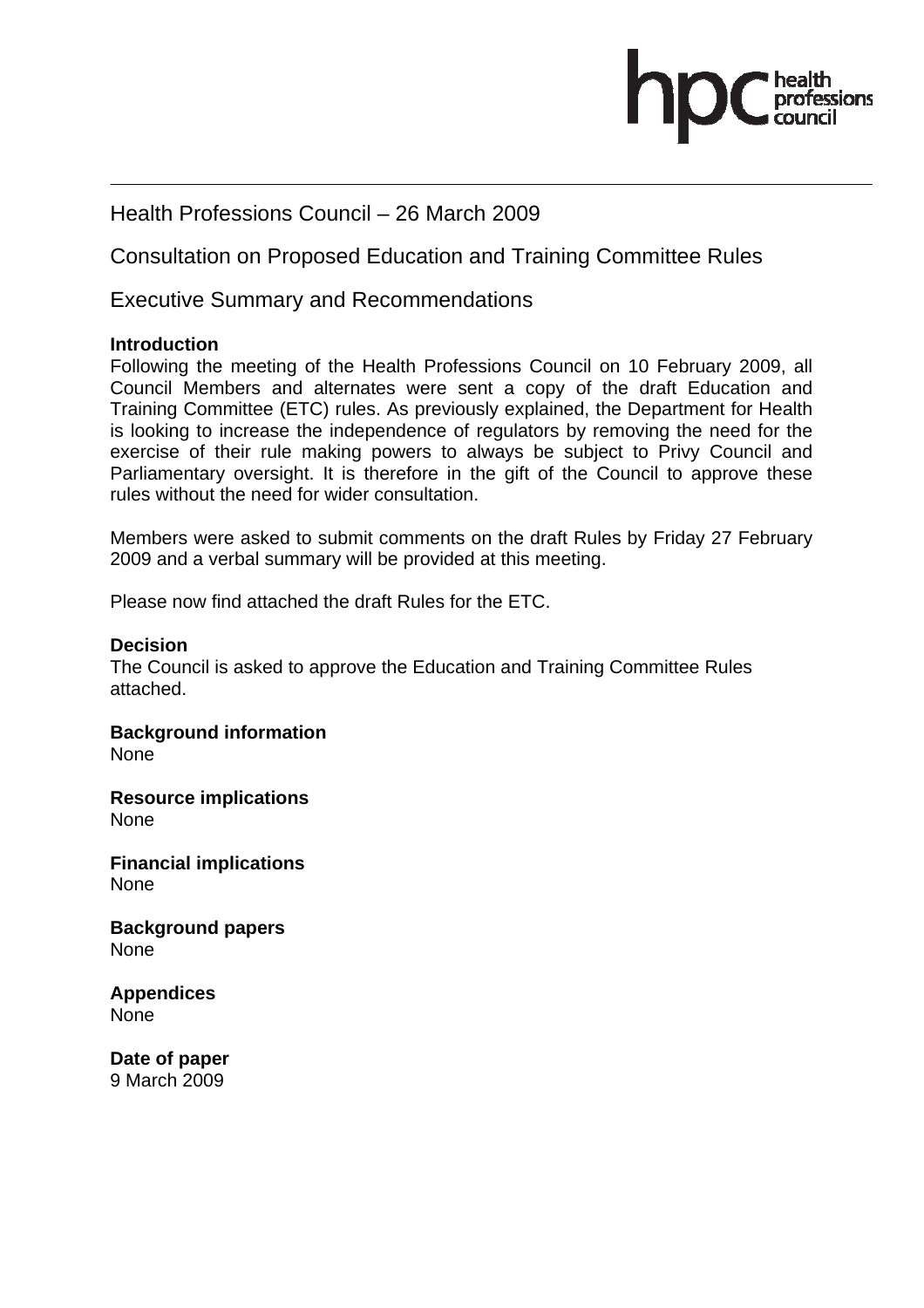# .<br>essions

# Health Professions Council – 26 March 2009

Consultation on Proposed Education and Training Committee Rules

Executive Summary and Recommendations

# **Introduction**

Following the meeting of the Health Professions Council on 10 February 2009, all Council Members and alternates were sent a copy of the draft Education and Training Committee (ETC) rules. As previously explained, the Department for Health is looking to increase the independence of regulators by removing the need for the exercise of their rule making powers to always be subject to Privy Council and Parliamentary oversight. It is therefore in the gift of the Council to approve these rules without the need for wider consultation.

Members were asked to submit comments on the draft Rules by Friday 27 February 2009 and a verbal summary will be provided at this meeting.

Please now find attached the draft Rules for the ETC.

# **Decision**

The Council is asked to approve the Education and Training Committee Rules attached.

**Background information**  None

**Resource implications**  None

**Financial implications**  None

**Background papers**  None

**Appendices**  None

**Date of paper**  9 March 2009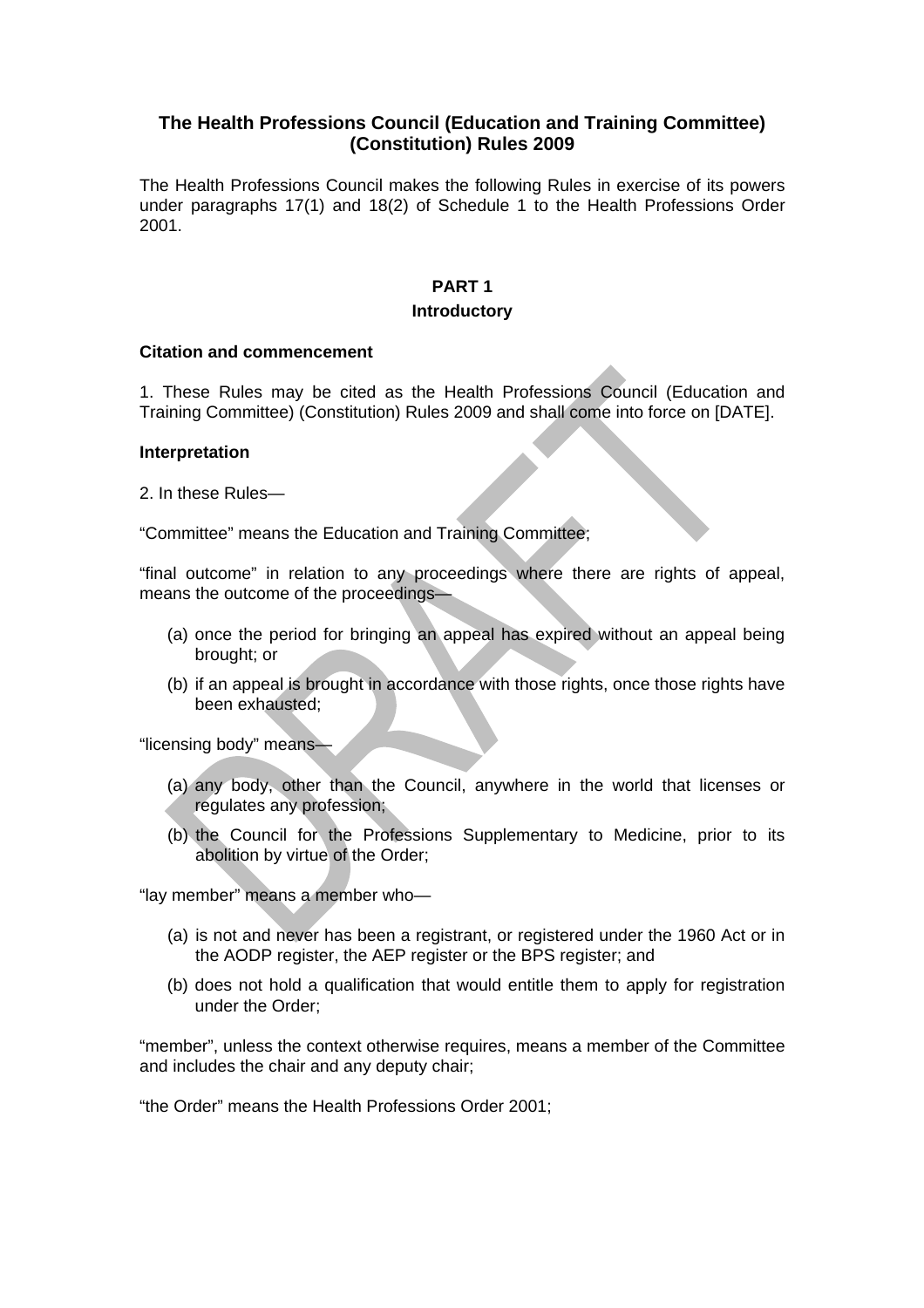# **The Health Professions Council (Education and Training Committee) (Constitution) Rules 2009**

The Health Professions Council makes the following Rules in exercise of its powers under paragraphs 17(1) and 18(2) of Schedule 1 to the Health Professions Order 2001.

# **PART 1**

### **Introductory**

### **Citation and commencement**

1. These Rules may be cited as the Health Professions Council (Education and Training Committee) (Constitution) Rules 2009 and shall come into force on [DATE].

### **Interpretation**

2. In these Rules—

"Committee" means the Education and Training Committee;

"final outcome" in relation to any proceedings where there are rights of appeal, means the outcome of the proceedings—

- (a) once the period for bringing an appeal has expired without an appeal being brought; or
- (b) if an appeal is brought in accordance with those rights, once those rights have been exhausted;

"licensing body" means—

- (a) any body, other than the Council, anywhere in the world that licenses or regulates any profession;
- (b) the Council for the Professions Supplementary to Medicine, prior to its abolition by virtue of the Order;

"lay member" means a member who—

- (a) is not and never has been a registrant, or registered under the 1960 Act or in the AODP register, the AEP register or the BPS register; and
- (b) does not hold a qualification that would entitle them to apply for registration under the Order;

"member", unless the context otherwise requires, means a member of the Committee and includes the chair and any deputy chair;

"the Order" means the Health Professions Order 2001;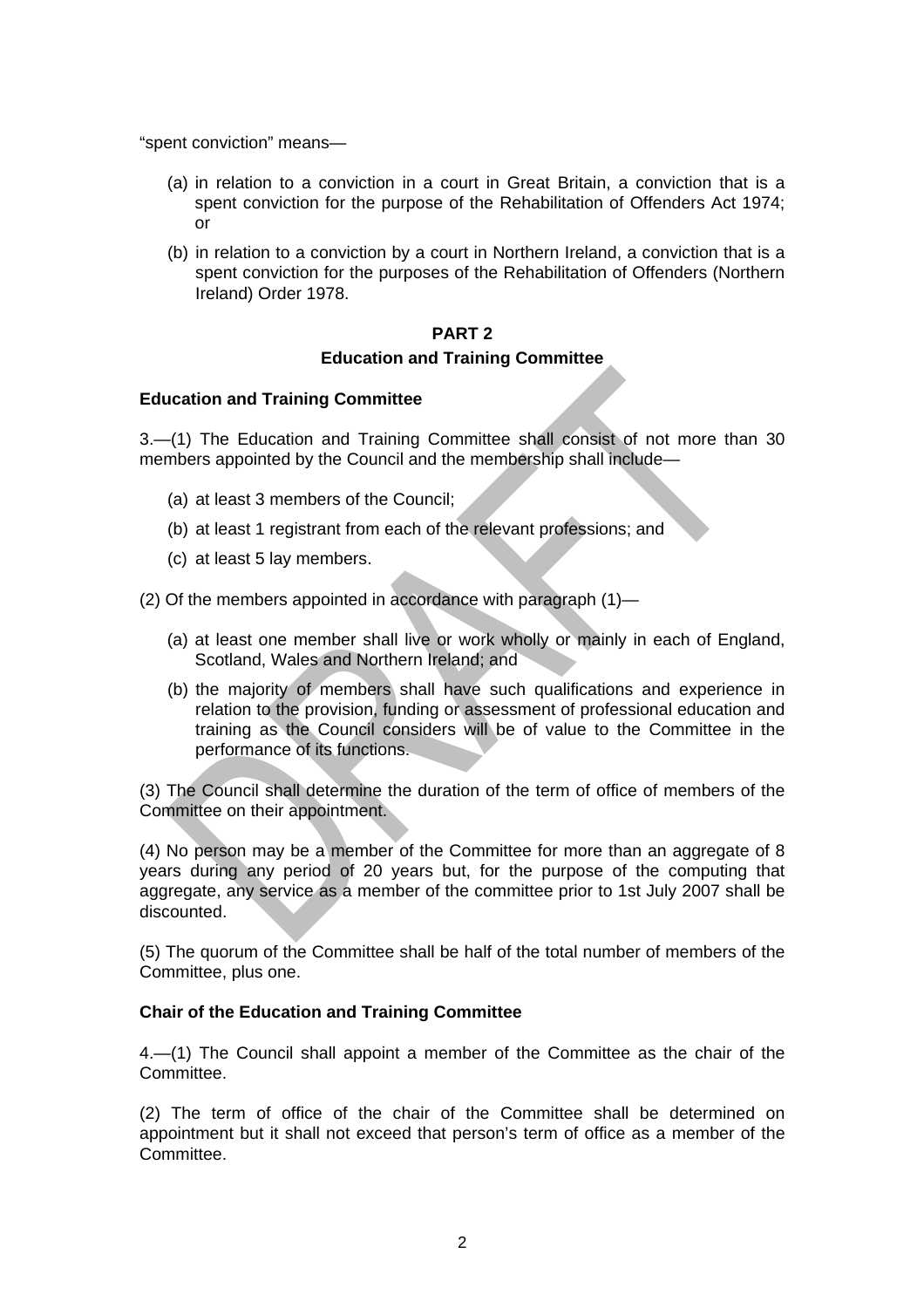"spent conviction" means—

- (a) in relation to a conviction in a court in Great Britain, a conviction that is a spent conviction for the purpose of the Rehabilitation of Offenders Act 1974; or
- (b) in relation to a conviction by a court in Northern Ireland, a conviction that is a spent conviction for the purposes of the Rehabilitation of Offenders (Northern Ireland) Order 1978.

# **PART 2 Education and Training Committee**

# **Education and Training Committee**

3.—(1) The Education and Training Committee shall consist of not more than 30 members appointed by the Council and the membership shall include—

- (a) at least 3 members of the Council;
- (b) at least 1 registrant from each of the relevant professions; and
- (c) at least 5 lay members.

(2) Of the members appointed in accordance with paragraph (1)—

- (a) at least one member shall live or work wholly or mainly in each of England, Scotland, Wales and Northern Ireland; and
- (b) the majority of members shall have such qualifications and experience in relation to the provision, funding or assessment of professional education and training as the Council considers will be of value to the Committee in the performance of its functions.

(3) The Council shall determine the duration of the term of office of members of the Committee on their appointment.

(4) No person may be a member of the Committee for more than an aggregate of 8 years during any period of 20 years but, for the purpose of the computing that aggregate, any service as a member of the committee prior to 1st July 2007 shall be discounted.

(5) The quorum of the Committee shall be half of the total number of members of the Committee, plus one.

### **Chair of the Education and Training Committee**

4.—(1) The Council shall appoint a member of the Committee as the chair of the Committee.

(2) The term of office of the chair of the Committee shall be determined on appointment but it shall not exceed that person's term of office as a member of the Committee.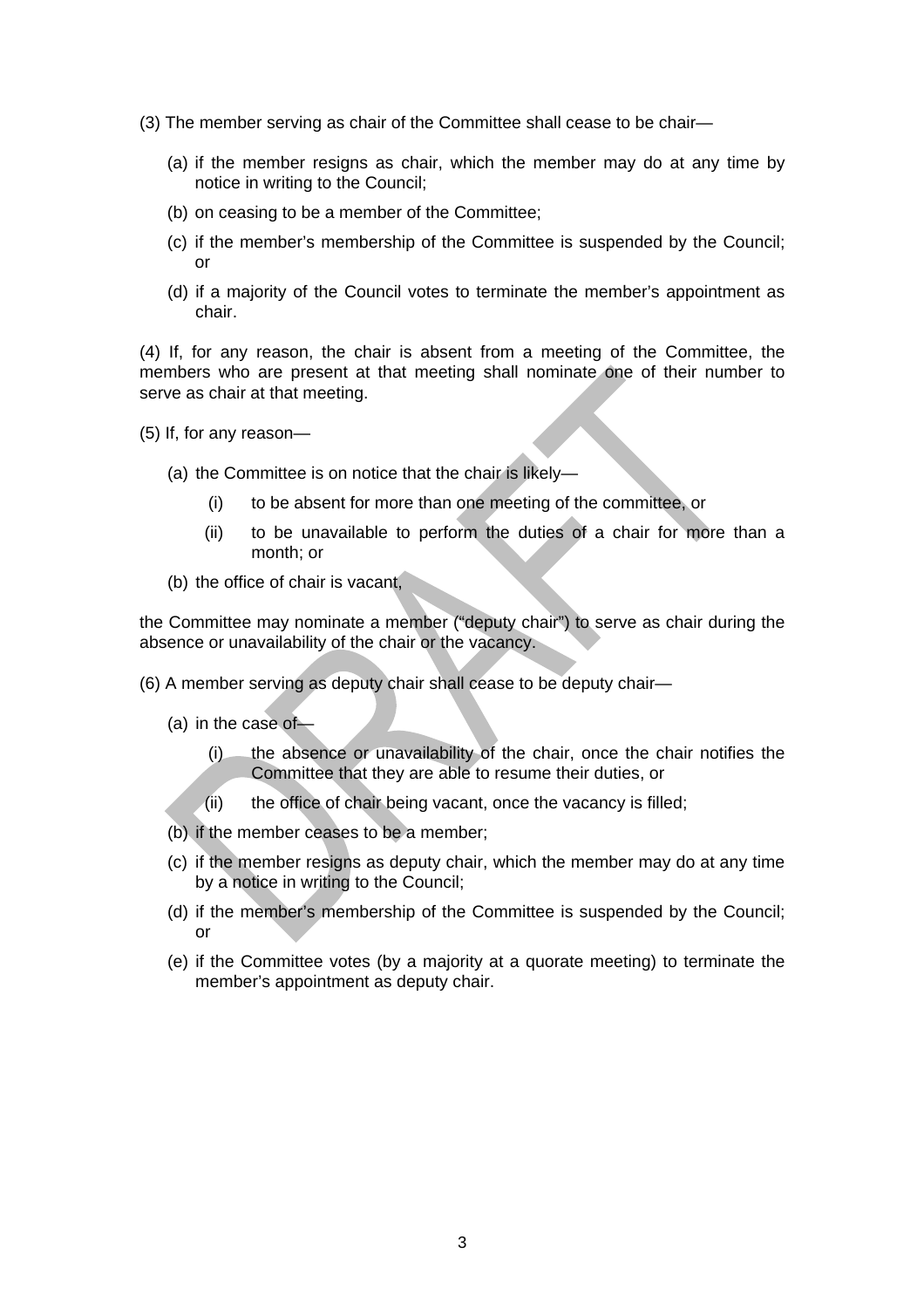- (3) The member serving as chair of the Committee shall cease to be chair—
	- (a) if the member resigns as chair, which the member may do at any time by notice in writing to the Council;
	- (b) on ceasing to be a member of the Committee;
	- (c) if the member's membership of the Committee is suspended by the Council; or
	- (d) if a majority of the Council votes to terminate the member's appointment as chair.

(4) If, for any reason, the chair is absent from a meeting of the Committee, the members who are present at that meeting shall nominate one of their number to serve as chair at that meeting.

- (5) If, for any reason—
	- (a) the Committee is on notice that the chair is likely—
		- (i) to be absent for more than one meeting of the committee, or
		- (ii) to be unavailable to perform the duties of a chair for more than a month; or
	- (b) the office of chair is vacant,

the Committee may nominate a member ("deputy chair") to serve as chair during the absence or unavailability of the chair or the vacancy.

- (6) A member serving as deputy chair shall cease to be deputy chair—
	- (a) in the case of—
		- (i) the absence or unavailability of the chair, once the chair notifies the Committee that they are able to resume their duties, or
		- $(i)$  the office of chair being vacant, once the vacancy is filled;
	- (b) if the member ceases to be a member;
	- (c) if the member resigns as deputy chair, which the member may do at any time by a notice in writing to the Council;
	- (d) if the member's membership of the Committee is suspended by the Council; or
	- (e) if the Committee votes (by a majority at a quorate meeting) to terminate the member's appointment as deputy chair.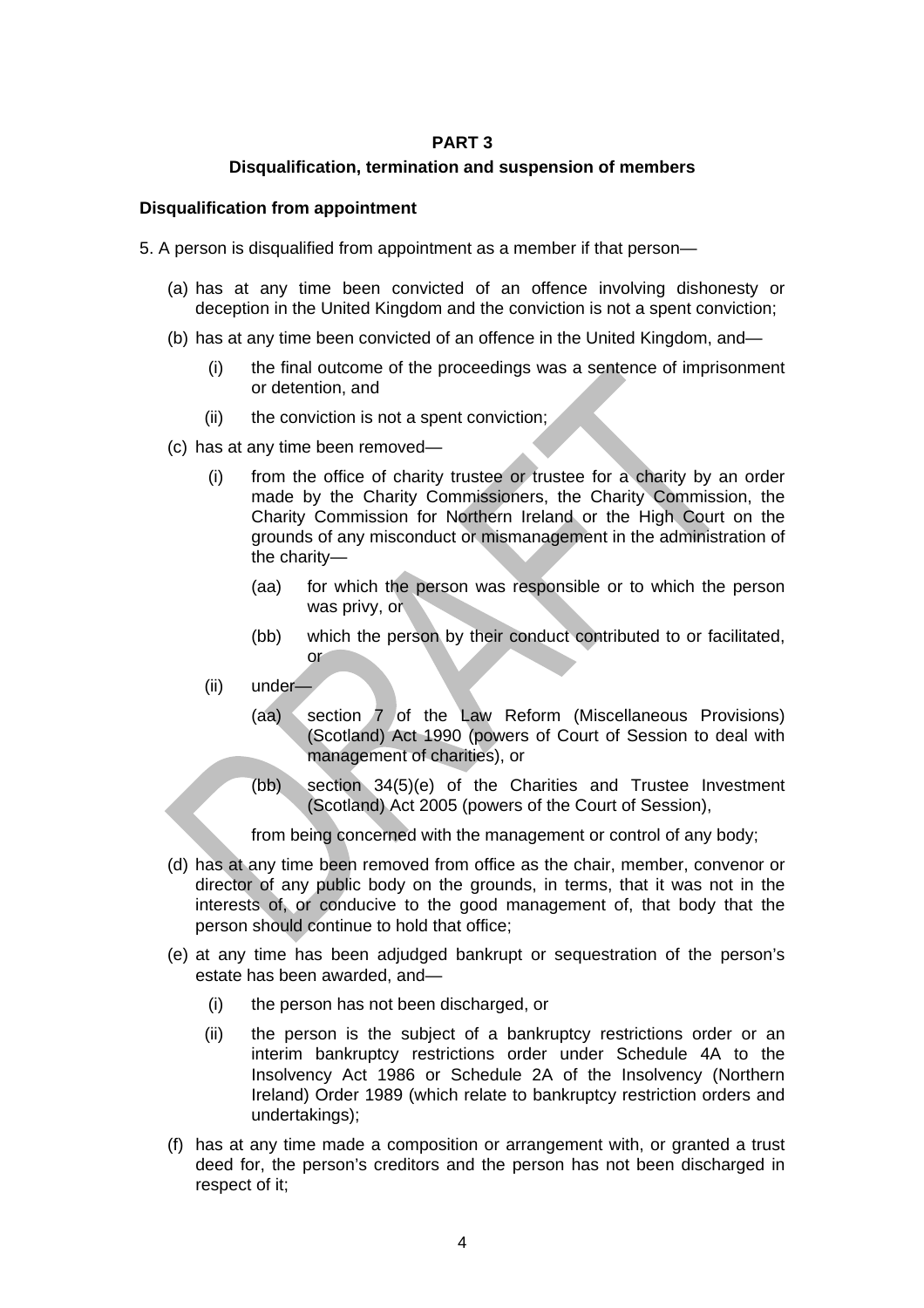# **PART 3**

# **Disqualification, termination and suspension of members**

## **Disqualification from appointment**

5. A person is disqualified from appointment as a member if that person—

- (a) has at any time been convicted of an offence involving dishonesty or deception in the United Kingdom and the conviction is not a spent conviction;
- (b) has at any time been convicted of an offence in the United Kingdom, and—
	- (i) the final outcome of the proceedings was a sentence of imprisonment or detention, and
	- $(ii)$  the conviction is not a spent conviction;
- (c) has at any time been removed—
	- (i) from the office of charity trustee or trustee for a charity by an order made by the Charity Commissioners, the Charity Commission, the Charity Commission for Northern Ireland or the High Court on the grounds of any misconduct or mismanagement in the administration of the charity—
		- (aa) for which the person was responsible or to which the person was privy, or
		- (bb) which the person by their conduct contributed to or facilitated, or
	- (ii) under—
		- (aa) section 7 of the Law Reform (Miscellaneous Provisions) (Scotland) Act 1990 (powers of Court of Session to deal with management of charities), or
		- (bb) section 34(5)(e) of the Charities and Trustee Investment (Scotland) Act 2005 (powers of the Court of Session),

from being concerned with the management or control of any body;

- (d) has at any time been removed from office as the chair, member, convenor or director of any public body on the grounds, in terms, that it was not in the interests of, or conducive to the good management of, that body that the person should continue to hold that office;
- (e) at any time has been adjudged bankrupt or sequestration of the person's estate has been awarded, and—
	- (i) the person has not been discharged, or
	- (ii) the person is the subject of a bankruptcy restrictions order or an interim bankruptcy restrictions order under Schedule 4A to the Insolvency Act 1986 or Schedule 2A of the Insolvency (Northern Ireland) Order 1989 (which relate to bankruptcy restriction orders and undertakings);
- (f) has at any time made a composition or arrangement with, or granted a trust deed for, the person's creditors and the person has not been discharged in respect of it;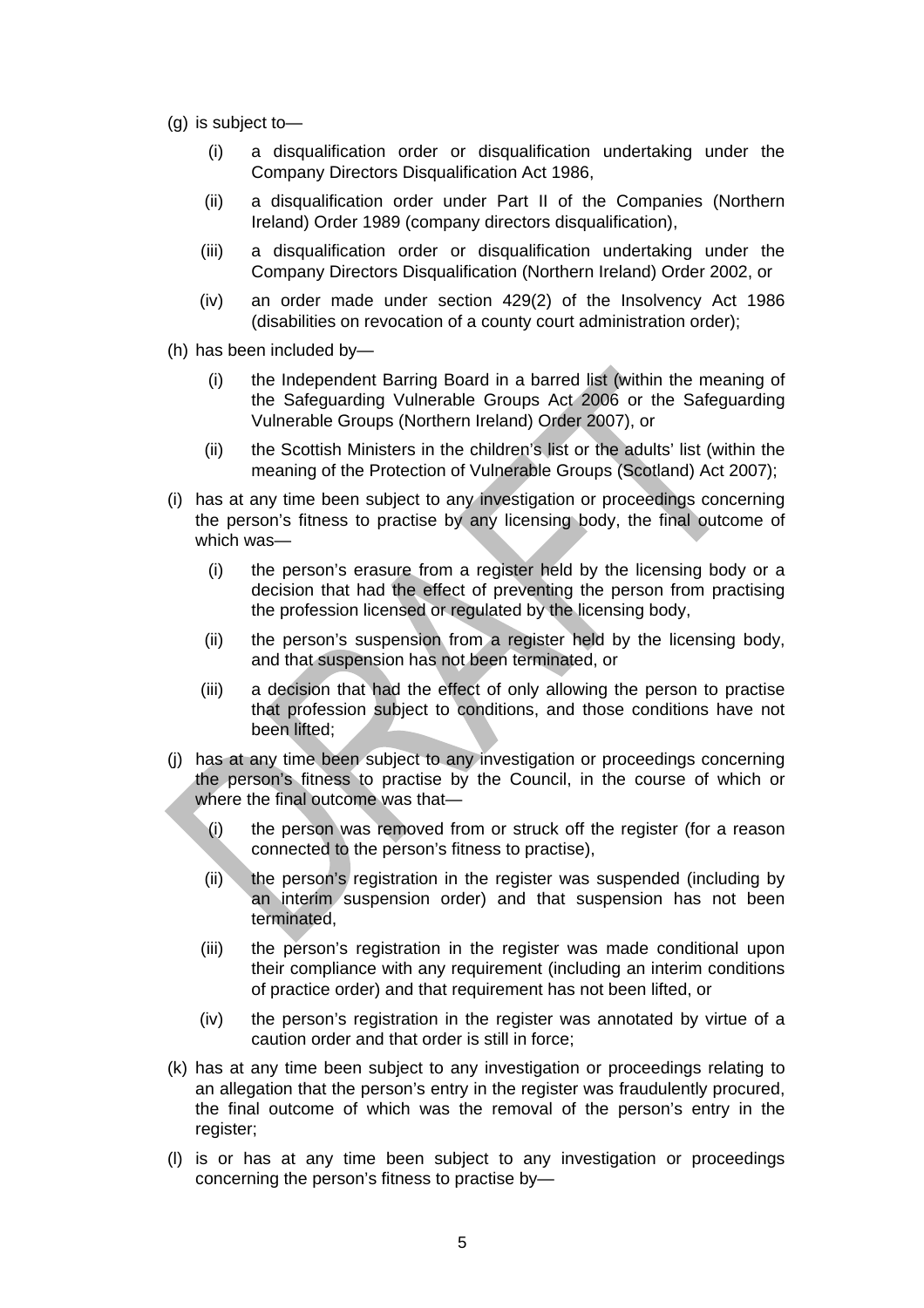- (g) is subject to—
	- (i) a disqualification order or disqualification undertaking under the Company Directors Disqualification Act 1986,
	- (ii) a disqualification order under Part II of the Companies (Northern Ireland) Order 1989 (company directors disqualification),
	- (iii) a disqualification order or disqualification undertaking under the Company Directors Disqualification (Northern Ireland) Order 2002, or
	- (iv) an order made under section 429(2) of the Insolvency Act 1986 (disabilities on revocation of a county court administration order);
- (h) has been included by—
	- (i) the Independent Barring Board in a barred list (within the meaning of the Safeguarding Vulnerable Groups Act 2006 or the Safeguarding Vulnerable Groups (Northern Ireland) Order 2007), or
	- (ii) the Scottish Ministers in the children's list or the adults' list (within the meaning of the Protection of Vulnerable Groups (Scotland) Act 2007);
- (i) has at any time been subject to any investigation or proceedings concerning the person's fitness to practise by any licensing body, the final outcome of which was—
	- (i) the person's erasure from a register held by the licensing body or a decision that had the effect of preventing the person from practising the profession licensed or regulated by the licensing body,
	- (ii) the person's suspension from a register held by the licensing body, and that suspension has not been terminated, or
	- (iii) a decision that had the effect of only allowing the person to practise that profession subject to conditions, and those conditions have not been lifted;
- (j) has at any time been subject to any investigation or proceedings concerning the person's fitness to practise by the Council, in the course of which or where the final outcome was that—
	- (i) the person was removed from or struck off the register (for a reason connected to the person's fitness to practise),
	- (ii) the person's registration in the register was suspended (including by an interim suspension order) and that suspension has not been terminated,
	- (iii) the person's registration in the register was made conditional upon their compliance with any requirement (including an interim conditions of practice order) and that requirement has not been lifted, or
	- (iv) the person's registration in the register was annotated by virtue of a caution order and that order is still in force;
- (k) has at any time been subject to any investigation or proceedings relating to an allegation that the person's entry in the register was fraudulently procured, the final outcome of which was the removal of the person's entry in the register;
- (l) is or has at any time been subject to any investigation or proceedings concerning the person's fitness to practise by—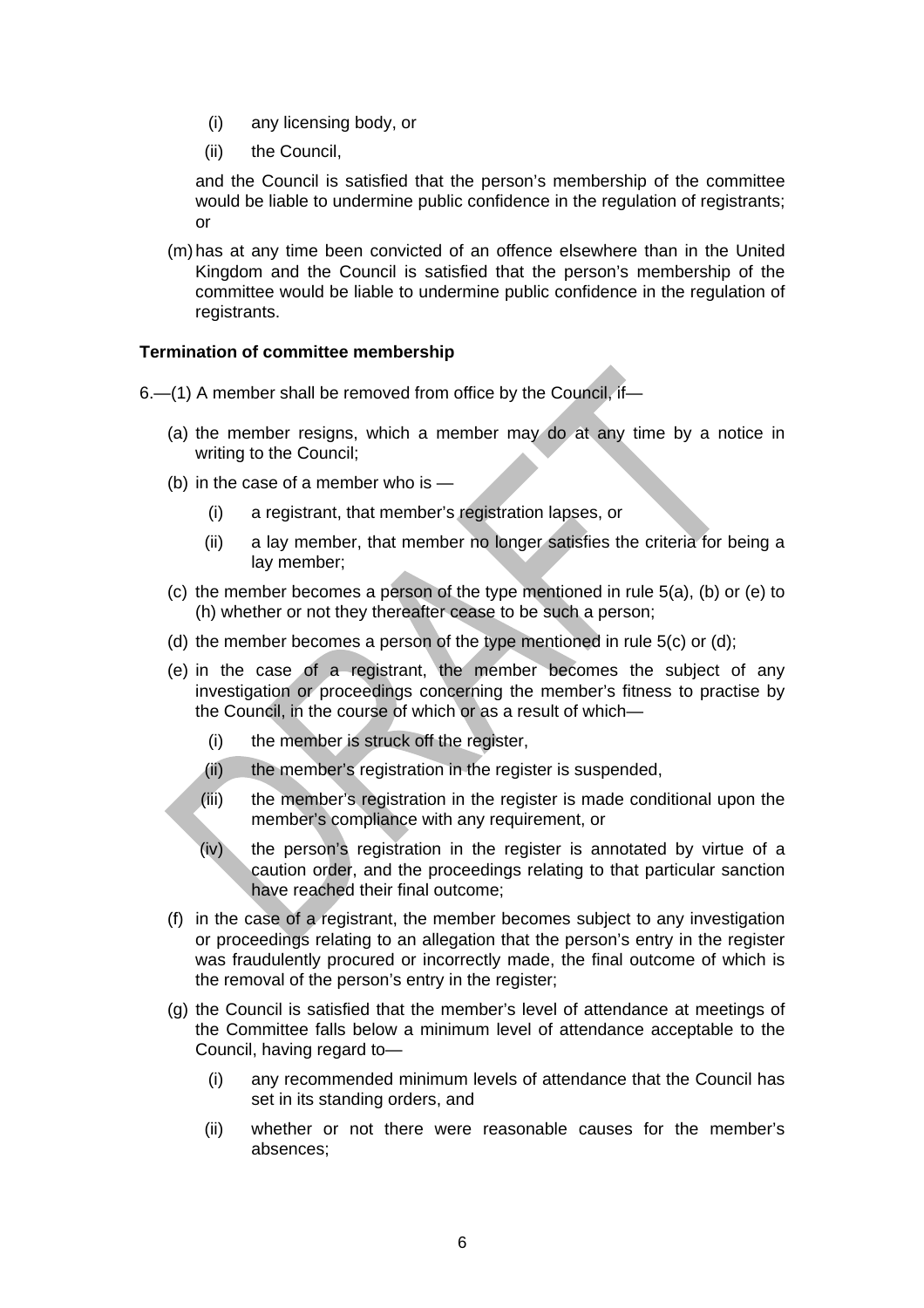- (i) any licensing body, or
- (ii) the Council,

and the Council is satisfied that the person's membership of the committee would be liable to undermine public confidence in the regulation of registrants; or

(m) has at any time been convicted of an offence elsewhere than in the United Kingdom and the Council is satisfied that the person's membership of the committee would be liable to undermine public confidence in the regulation of registrants.

# **Termination of committee membership**

6.—(1) A member shall be removed from office by the Council, if—

- (a) the member resigns, which a member may do at any time by a notice in writing to the Council;
- (b) in the case of a member who is
	- (i) a registrant, that member's registration lapses, or
	- (ii) a lay member, that member no longer satisfies the criteria for being a lay member;
- (c) the member becomes a person of the type mentioned in rule 5(a), (b) or (e) to (h) whether or not they thereafter cease to be such a person;
- (d) the member becomes a person of the type mentioned in rule 5(c) or (d);
- (e) in the case of a registrant, the member becomes the subject of any investigation or proceedings concerning the member's fitness to practise by the Council, in the course of which or as a result of which—
	- (i) the member is struck off the register,
	- (ii) the member's registration in the register is suspended,
	- (iii) the member's registration in the register is made conditional upon the member's compliance with any requirement, or
	- (iv) the person's registration in the register is annotated by virtue of a caution order, and the proceedings relating to that particular sanction have reached their final outcome;
- (f) in the case of a registrant, the member becomes subject to any investigation or proceedings relating to an allegation that the person's entry in the register was fraudulently procured or incorrectly made, the final outcome of which is the removal of the person's entry in the register;
- (g) the Council is satisfied that the member's level of attendance at meetings of the Committee falls below a minimum level of attendance acceptable to the Council, having regard to—
	- (i) any recommended minimum levels of attendance that the Council has set in its standing orders, and
	- (ii) whether or not there were reasonable causes for the member's absences;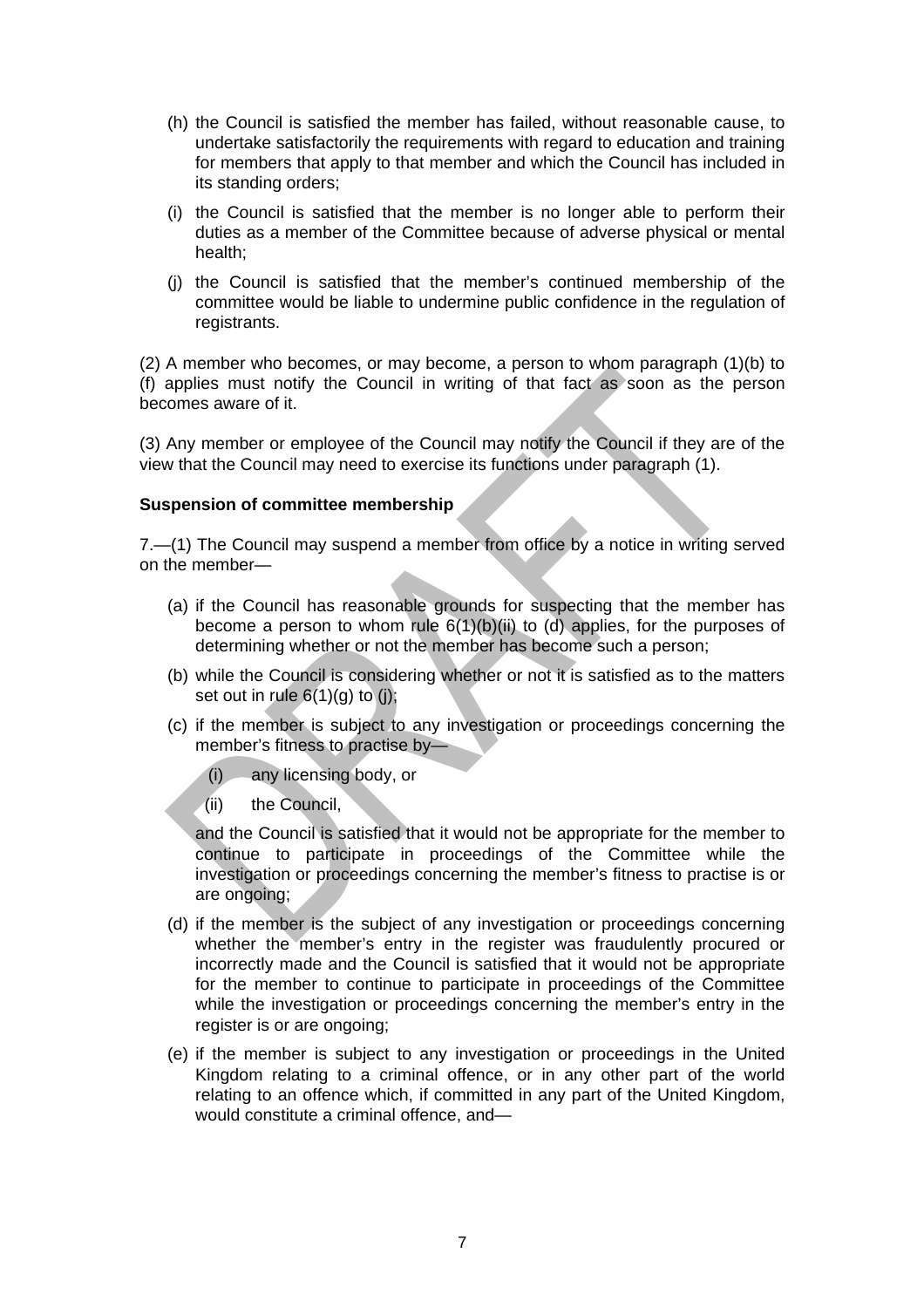- (h) the Council is satisfied the member has failed, without reasonable cause, to undertake satisfactorily the requirements with regard to education and training for members that apply to that member and which the Council has included in its standing orders;
- (i) the Council is satisfied that the member is no longer able to perform their duties as a member of the Committee because of adverse physical or mental health;
- (j) the Council is satisfied that the member's continued membership of the committee would be liable to undermine public confidence in the regulation of registrants.

(2) A member who becomes, or may become, a person to whom paragraph (1)(b) to (f) applies must notify the Council in writing of that fact as soon as the person becomes aware of it.

(3) Any member or employee of the Council may notify the Council if they are of the view that the Council may need to exercise its functions under paragraph (1).

# **Suspension of committee membership**

7.—(1) The Council may suspend a member from office by a notice in writing served on the member—

- (a) if the Council has reasonable grounds for suspecting that the member has become a person to whom rule  $6(1)(b)(ii)$  to (d) applies, for the purposes of determining whether or not the member has become such a person;
- (b) while the Council is considering whether or not it is satisfied as to the matters set out in rule  $6(1)(q)$  to (i);
- (c) if the member is subject to any investigation or proceedings concerning the member's fitness to practise by—

(i) any licensing body, or

(ii) the Council,

and the Council is satisfied that it would not be appropriate for the member to continue to participate in proceedings of the Committee while the investigation or proceedings concerning the member's fitness to practise is or are ongoing;

- (d) if the member is the subject of any investigation or proceedings concerning whether the member's entry in the register was fraudulently procured or incorrectly made and the Council is satisfied that it would not be appropriate for the member to continue to participate in proceedings of the Committee while the investigation or proceedings concerning the member's entry in the register is or are ongoing;
- (e) if the member is subject to any investigation or proceedings in the United Kingdom relating to a criminal offence, or in any other part of the world relating to an offence which, if committed in any part of the United Kingdom, would constitute a criminal offence, and—